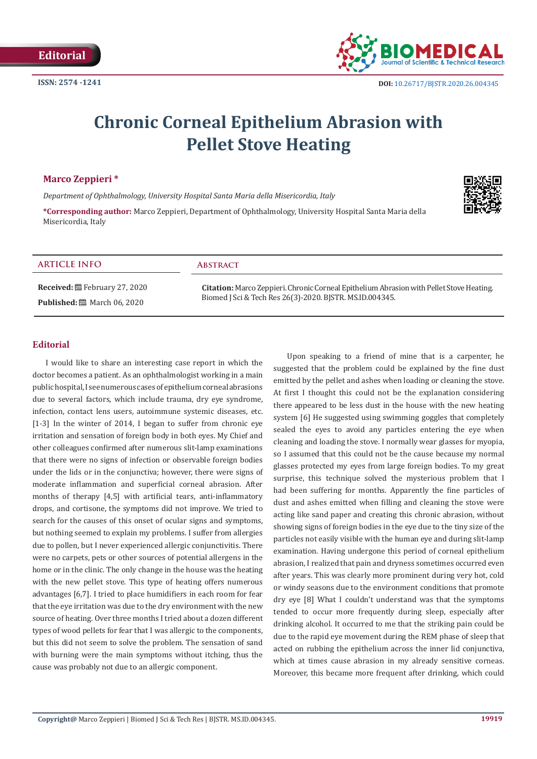

# **Chronic Corneal Epithelium Abrasion with Pellet Stove Heating**

## **Marco Zeppieri \***

*Department of Ophthalmology, University Hospital Santa Maria della Misericordia, Italy*

**\*Corresponding author:** Marco Zeppieri, Department of Ophthalmology, University Hospital Santa Maria della Misericordia, Italy

# **ARTICLE INFO Abstract**

**Received:** February 27, 2020 **Published:** ■ March 06, 2020

**Citation:** Marco Zeppieri. Chronic Corneal Epithelium Abrasion with Pellet Stove Heating. Biomed J Sci & Tech Res 26(3)-2020. BJSTR. MS.ID.004345.

#### **Editorial**

I would like to share an interesting case report in which the doctor becomes a patient. As an ophthalmologist working in a main public hospital, I see numerous cases of epithelium corneal abrasions due to several factors, which include trauma, dry eye syndrome, infection, contact lens users, autoimmune systemic diseases, etc. [1-3] In the winter of 2014, I began to suffer from chronic eye irritation and sensation of foreign body in both eyes. My Chief and other colleagues confirmed after numerous slit-lamp examinations that there were no signs of infection or observable foreign bodies under the lids or in the conjunctiva; however, there were signs of moderate inflammation and superficial corneal abrasion. After months of therapy [4,5] with artificial tears, anti-inflammatory drops, and cortisone, the symptoms did not improve. We tried to search for the causes of this onset of ocular signs and symptoms, but nothing seemed to explain my problems. I suffer from allergies due to pollen, but I never experienced allergic conjunctivitis. There were no carpets, pets or other sources of potential allergens in the home or in the clinic. The only change in the house was the heating with the new pellet stove. This type of heating offers numerous advantages [6,7]. I tried to place humidifiers in each room for fear that the eye irritation was due to the dry environment with the new source of heating. Over three months I tried about a dozen different types of wood pellets for fear that I was allergic to the components, but this did not seem to solve the problem. The sensation of sand with burning were the main symptoms without itching, thus the cause was probably not due to an allergic component.

Upon speaking to a friend of mine that is a carpenter, he suggested that the problem could be explained by the fine dust emitted by the pellet and ashes when loading or cleaning the stove. At first I thought this could not be the explanation considering there appeared to be less dust in the house with the new heating system [6] He suggested using swimming goggles that completely sealed the eyes to avoid any particles entering the eye when cleaning and loading the stove. I normally wear glasses for myopia, so I assumed that this could not be the cause because my normal glasses protected my eyes from large foreign bodies. To my great surprise, this technique solved the mysterious problem that I had been suffering for months. Apparently the fine particles of dust and ashes emitted when filling and cleaning the stove were acting like sand paper and creating this chronic abrasion, without showing signs of foreign bodies in the eye due to the tiny size of the particles not easily visible with the human eye and during slit-lamp examination. Having undergone this period of corneal epithelium abrasion, I realized that pain and dryness sometimes occurred even after years. This was clearly more prominent during very hot, cold or windy seasons due to the environment conditions that promote dry eye [8] What I couldn't understand was that the symptoms tended to occur more frequently during sleep, especially after drinking alcohol. It occurred to me that the striking pain could be due to the rapid eye movement during the REM phase of sleep that acted on rubbing the epithelium across the inner lid conjunctiva, which at times cause abrasion in my already sensitive corneas. Moreover, this became more frequent after drinking, which could